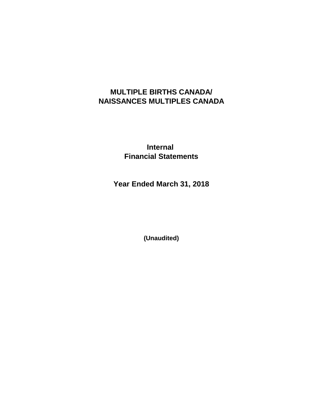# **MULTIPLE BIRTHS CANADA/ NAISSANCES MULTIPLES CANADA**

**Internal Financial Statements**

**Year Ended March 31, 2018**

**(Unaudited)**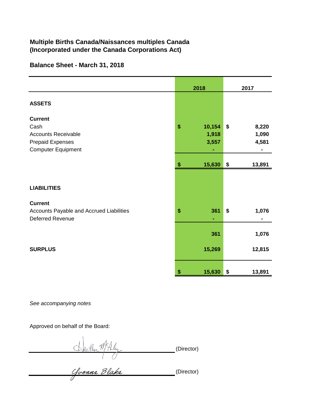## **Multiple Births Canada/Naissances multiples Canada (Incorporated under the Canada Corporations Act)**

### **Balance Sheet - March 31, 2018**

|                                                                                                              | 2018                           | 2017                          |  |
|--------------------------------------------------------------------------------------------------------------|--------------------------------|-------------------------------|--|
| <b>ASSETS</b>                                                                                                |                                |                               |  |
| <b>Current</b><br>Cash<br><b>Accounts Receivable</b><br><b>Prepaid Expenses</b><br><b>Computer Equipment</b> | \$<br>10,154<br>1,918<br>3,557 | \$<br>8,220<br>1,090<br>4,581 |  |
|                                                                                                              | 15,630<br>\$                   | \$<br>13,891                  |  |
| <b>LIABILITIES</b>                                                                                           |                                |                               |  |
| <b>Current</b><br>Accounts Payable and Accrued Liabilities<br><b>Deferred Revenue</b>                        | \$<br>361<br>٠                 | \$<br>1,076                   |  |
|                                                                                                              | 361                            | 1,076                         |  |
| <b>SURPLUS</b>                                                                                               | 15,269                         | 12,815                        |  |
|                                                                                                              | \$<br>15,630                   | \$<br>13,891                  |  |

*See accompanying notes*

Approved on behalf of the Board:

(Director)

(Director)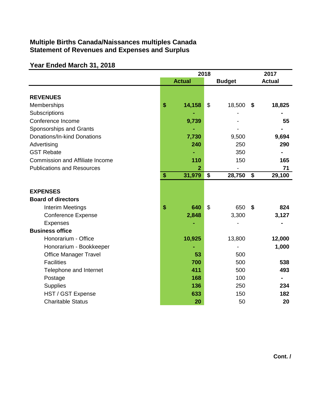# **Multiple Births Canada/Naissances multiples Canada Statement of Revenues and Expenses and Surplus**

# **Year Ended March 31, 2018**

|                                        | 2018 |                         |                           | 2017          |               |
|----------------------------------------|------|-------------------------|---------------------------|---------------|---------------|
|                                        |      | <b>Actual</b>           |                           | <b>Budget</b> | <b>Actual</b> |
|                                        |      |                         |                           |               |               |
| <b>REVENUES</b>                        |      |                         |                           |               |               |
| Memberships                            | \$   | 14,158                  | $\boldsymbol{\mathsf{S}}$ | 18,500        | \$<br>18,825  |
| Subscriptions                          |      |                         |                           |               |               |
| Conference Income                      |      | 9,739                   |                           |               | 55            |
| Sponsorships and Grants                |      |                         |                           |               |               |
| Donations/In-kind Donations            |      | 7,730                   |                           | 9,500         | 9,694         |
| Advertising                            |      | 240                     |                           | 250           | 290           |
| <b>GST Rebate</b>                      |      |                         |                           | 350           |               |
| <b>Commission and Affiliate Income</b> |      | 110                     |                           | 150           | 165           |
| <b>Publications and Resources</b>      |      | $\overline{\mathbf{2}}$ |                           |               | 71            |
|                                        | \$   | 31,979                  | \$                        | 28,750        | \$<br>29,100  |
|                                        |      |                         |                           |               |               |
| <b>EXPENSES</b>                        |      |                         |                           |               |               |
| <b>Board of directors</b>              |      |                         |                           |               |               |
| <b>Interim Meetings</b>                | \$   | 640                     | $\boldsymbol{\mathsf{S}}$ | 650           | \$<br>824     |
| <b>Conference Expense</b>              |      | 2,848                   |                           | 3,300         | 3,127         |
| <b>Expenses</b>                        |      |                         |                           |               |               |
| <b>Business office</b>                 |      |                         |                           |               |               |
| Honorarium - Office                    |      | 10,925                  |                           | 13,800        | 12,000        |
| Honorarium - Bookkeeper                |      |                         |                           |               | 1,000         |
| <b>Office Manager Travel</b>           |      | 53                      |                           | 500           |               |
| <b>Facilities</b>                      |      | 700                     |                           | 500           | 538           |
| Telephone and Internet                 |      | 411                     |                           | 500           | 493           |
| Postage                                |      | 168                     |                           | 100           |               |
| <b>Supplies</b>                        |      | 136                     |                           | 250           | 234           |
| HST / GST Expense                      |      | 633                     |                           | 150           | 182           |
| <b>Charitable Status</b>               |      | 20                      |                           | 50            | 20            |

**Cont. /**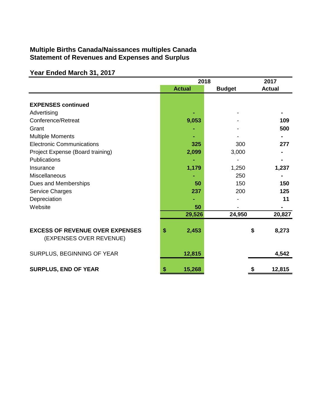## **Multiple Births Canada/Naissances multiples Canada Statement of Revenues and Expenses and Surplus**

# **Year Ended March 31, 2017**

|                                                                   | 2018          | 2017          |               |
|-------------------------------------------------------------------|---------------|---------------|---------------|
|                                                                   | <b>Actual</b> | <b>Budget</b> | <b>Actual</b> |
|                                                                   |               |               |               |
| <b>EXPENSES continued</b>                                         |               |               |               |
| Advertising                                                       |               |               |               |
| Conference/Retreat                                                | 9,053         |               | 109           |
| Grant                                                             |               |               | 500           |
| <b>Multiple Moments</b>                                           |               |               |               |
| <b>Electronic Communications</b>                                  | 325           | 300           | 277           |
| Project Expense (Board training)                                  | 2,099         | 3,000         |               |
| Publications                                                      |               |               |               |
| Insurance                                                         | 1,179         | 1,250         | 1,237         |
| Miscellaneous                                                     |               | 250           |               |
| Dues and Memberships                                              | 50            | 150           | 150           |
| <b>Service Charges</b>                                            | 237           | 200           | 125           |
| Depreciation                                                      |               |               | 11            |
| Website                                                           | 50            |               |               |
|                                                                   | 29,526        | 24,950        | 20,827        |
|                                                                   |               |               |               |
| <b>EXCESS OF REVENUE OVER EXPENSES</b><br>(EXPENSES OVER REVENUE) | \$<br>2,453   |               | \$<br>8,273   |
| SURPLUS, BEGINNING OF YEAR                                        | 12,815        |               | 4,542         |
| <b>SURPLUS, END OF YEAR</b>                                       | 15,268        |               | 12,815        |